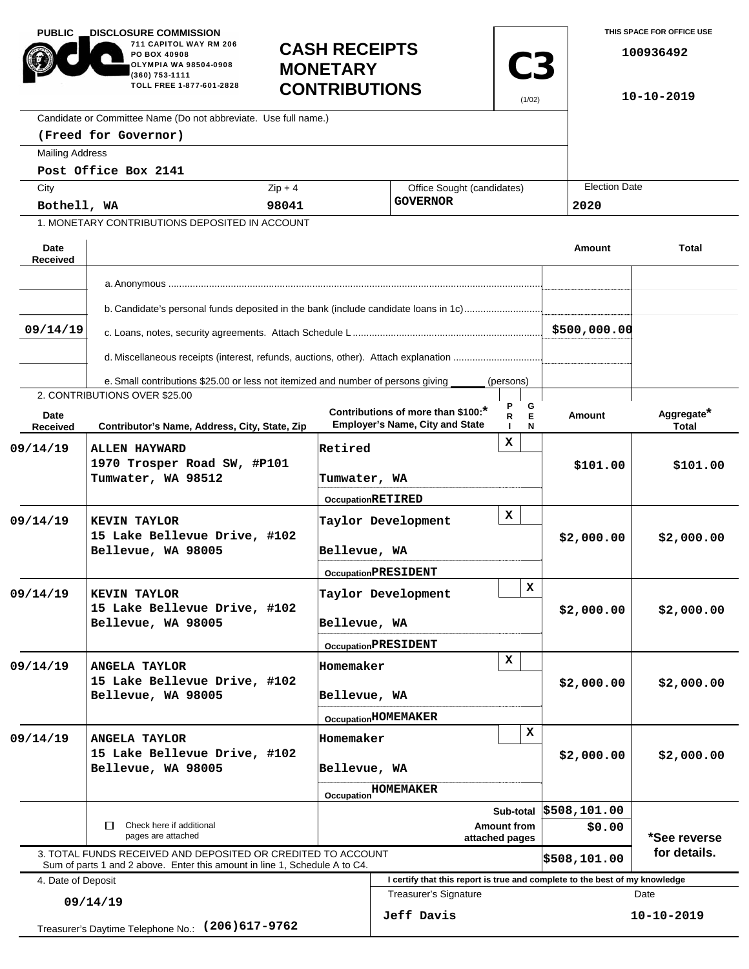| <b>PUBLIC</b><br><b>DISCLOSURE COMMISSION</b><br>711 CAPITOL WAY RM 206<br>PO BOX 40908<br>OLYMPIA WA 98504-0908<br>(360) 753-1111<br>TOLL FREE 1-877-601-2828 |                                                                                                                                            |                            | <b>CASH RECEIPTS</b><br><b>C3</b><br><b>MONETARY</b><br><b>CONTRIBUTIONS</b><br>(1/02) |                                                                              |                                  |                      | THIS SPACE FOR OFFICE USE<br>100936492<br>10-10-2019 |                            |  |
|----------------------------------------------------------------------------------------------------------------------------------------------------------------|--------------------------------------------------------------------------------------------------------------------------------------------|----------------------------|----------------------------------------------------------------------------------------|------------------------------------------------------------------------------|----------------------------------|----------------------|------------------------------------------------------|----------------------------|--|
|                                                                                                                                                                | Candidate or Committee Name (Do not abbreviate. Use full name.)                                                                            |                            |                                                                                        |                                                                              |                                  |                      |                                                      |                            |  |
|                                                                                                                                                                | (Freed for Governor)                                                                                                                       |                            |                                                                                        |                                                                              |                                  |                      |                                                      |                            |  |
| <b>Mailing Address</b>                                                                                                                                         |                                                                                                                                            |                            |                                                                                        |                                                                              |                                  |                      |                                                      |                            |  |
|                                                                                                                                                                | Post Office Box 2141                                                                                                                       |                            |                                                                                        |                                                                              |                                  |                      |                                                      |                            |  |
| City                                                                                                                                                           |                                                                                                                                            | $Zip + 4$                  |                                                                                        | Office Sought (candidates)                                                   |                                  | <b>Election Date</b> |                                                      |                            |  |
| Bothell, WA                                                                                                                                                    |                                                                                                                                            | 98041                      |                                                                                        | <b>GOVERNOR</b>                                                              | 2020                             |                      |                                                      |                            |  |
|                                                                                                                                                                | 1. MONETARY CONTRIBUTIONS DEPOSITED IN ACCOUNT                                                                                             |                            |                                                                                        |                                                                              |                                  |                      |                                                      |                            |  |
| Date<br><b>Received</b>                                                                                                                                        |                                                                                                                                            |                            |                                                                                        |                                                                              |                                  | Amount               |                                                      | <b>Total</b>               |  |
|                                                                                                                                                                |                                                                                                                                            |                            |                                                                                        |                                                                              |                                  |                      |                                                      |                            |  |
|                                                                                                                                                                |                                                                                                                                            |                            |                                                                                        |                                                                              |                                  |                      |                                                      |                            |  |
| b. Candidate's personal funds deposited in the bank (include candidate loans in 1c)<br>\$500,000.00<br>09/14/19                                                |                                                                                                                                            |                            |                                                                                        |                                                                              |                                  |                      |                                                      |                            |  |
|                                                                                                                                                                | d. Miscellaneous receipts (interest, refunds, auctions, other). Attach explanation                                                         |                            |                                                                                        |                                                                              |                                  |                      |                                                      |                            |  |
|                                                                                                                                                                | e. Small contributions \$25.00 or less not itemized and number of persons giving                                                           |                            |                                                                                        |                                                                              | (persons)                        |                      |                                                      |                            |  |
| Date<br>Received                                                                                                                                               | 2. CONTRIBUTIONS OVER \$25.00<br>Contributor's Name, Address, City, State, Zip                                                             |                            |                                                                                        | Contributions of more than \$100:*<br><b>Employer's Name, City and State</b> | Р<br>G<br>$\mathsf E$<br>R.<br>N | Amount               |                                                      | Aggregate*<br><b>Total</b> |  |
| 09/14/19                                                                                                                                                       | <b>ALLEN HAYWARD</b><br>1970 Trosper Road SW, #P101<br>Tumwater, WA 98512                                                                  |                            | Retired<br>Tumwater, WA                                                                |                                                                              | x                                | \$101.00             |                                                      | \$101.00                   |  |
|                                                                                                                                                                |                                                                                                                                            |                            | <b>OccupationRETIRED</b>                                                               |                                                                              |                                  |                      |                                                      |                            |  |
| 09/14/19                                                                                                                                                       | <b>KEVIN TAYLOR</b><br>15 Lake Bellevue Drive, #102<br>Bellevue, WA 98005                                                                  |                            | X<br>Taylor Development<br>Bellevue, WA                                                |                                                                              |                                  | \$2,000.00           |                                                      | \$2,000.00                 |  |
|                                                                                                                                                                |                                                                                                                                            |                            | <b>OccupationPRESIDENT</b>                                                             |                                                                              |                                  |                      |                                                      |                            |  |
| 09/14/19                                                                                                                                                       | <b>KEVIN TAYLOR</b><br>15 Lake Bellevue Drive, #102<br>Bellevue, WA 98005                                                                  |                            | x<br>Taylor Development<br>Bellevue, WA                                                |                                                                              |                                  | \$2,000.00           |                                                      | \$2,000.00                 |  |
|                                                                                                                                                                |                                                                                                                                            | <b>OccupationPRESIDENT</b> |                                                                                        |                                                                              |                                  |                      |                                                      |                            |  |
| 09/14/19                                                                                                                                                       | <b>ANGELA TAYLOR</b><br>15 Lake Bellevue Drive, #102<br>Bellevue, WA 98005                                                                 |                            | x<br>Homemaker<br>Bellevue, WA                                                         |                                                                              |                                  | \$2,000.00           |                                                      | \$2,000.00                 |  |
|                                                                                                                                                                |                                                                                                                                            |                            |                                                                                        | OccupationHOMEMAKER                                                          |                                  |                      |                                                      |                            |  |
| 09/14/19                                                                                                                                                       | <b>ANGELA TAYLOR</b><br>15 Lake Bellevue Drive, #102<br>Bellevue, WA 98005                                                                 |                            | Homemaker<br>Bellevue, WA                                                              |                                                                              | x                                |                      | \$2,000.00                                           | \$2,000.00                 |  |
|                                                                                                                                                                |                                                                                                                                            |                            | <b>Occupation HOMEMAKER</b>                                                            |                                                                              |                                  |                      |                                                      |                            |  |
|                                                                                                                                                                |                                                                                                                                            |                            | Sub-total<br>Amount from                                                               |                                                                              |                                  | \$508,101.00         |                                                      |                            |  |
| Check here if additional<br>П<br>pages are attached                                                                                                            |                                                                                                                                            |                            |                                                                                        | attached pages                                                               | \$0.00                           |                      | *See reverse                                         |                            |  |
|                                                                                                                                                                | 3. TOTAL FUNDS RECEIVED AND DEPOSITED OR CREDITED TO ACCOUNT<br>Sum of parts 1 and 2 above. Enter this amount in line 1, Schedule A to C4. |                            |                                                                                        |                                                                              |                                  | \$508,101.00         |                                                      | for details.               |  |
| 4. Date of Deposit                                                                                                                                             |                                                                                                                                            |                            |                                                                                        | I certify that this report is true and complete to the best of my knowledge  |                                  |                      |                                                      |                            |  |
| 09/14/19                                                                                                                                                       |                                                                                                                                            |                            |                                                                                        | <b>Treasurer's Signature</b><br>Jeff Davis                                   |                                  |                      | Date<br>10-10-2019                                   |                            |  |
|                                                                                                                                                                | Treasurer's Daytime Telephone No.: (206) 617-9762                                                                                          |                            |                                                                                        |                                                                              |                                  |                      |                                                      |                            |  |